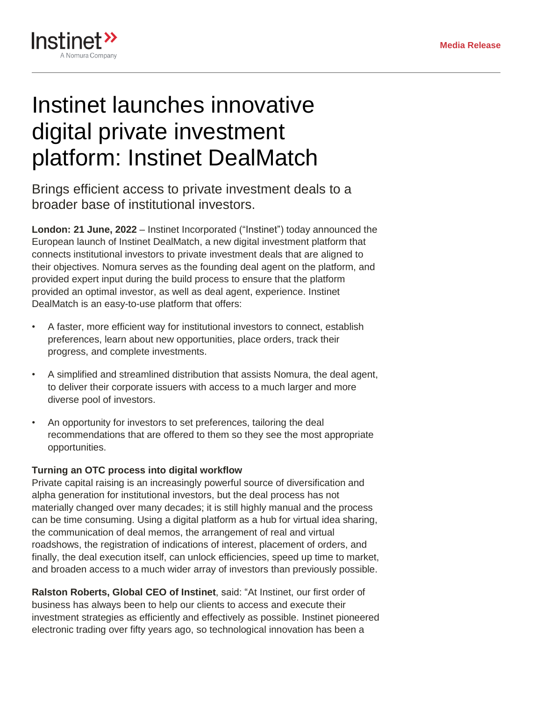

## Instinet launches innovative digital private investment platform: Instinet DealMatch

Brings efficient access to private investment deals to a broader base of institutional investors.

**London: 21 June, 2022** – Instinet Incorporated ("Instinet") today announced the European launch of Instinet DealMatch, a new digital investment platform that connects institutional investors to private investment deals that are aligned to their objectives. Nomura serves as the founding deal agent on the platform, and provided expert input during the build process to ensure that the platform provided an optimal investor, as well as deal agent, experience. Instinet DealMatch is an easy-to-use platform that offers:

- A faster, more efficient way for institutional investors to connect, establish preferences, learn about new opportunities, place orders, track their progress, and complete investments.
- A simplified and streamlined distribution that assists Nomura, the deal agent, to deliver their corporate issuers with access to a much larger and more diverse pool of investors.
- An opportunity for investors to set preferences, tailoring the deal recommendations that are offered to them so they see the most appropriate opportunities.

## **Turning an OTC process into digital workflow**

Private capital raising is an increasingly powerful source of diversification and alpha generation for institutional investors, but the deal process has not materially changed over many decades; it is still highly manual and the process can be time consuming. Using a digital platform as a hub for virtual idea sharing, the communication of deal memos, the arrangement of real and virtual roadshows, the registration of indications of interest, placement of orders, and finally, the deal execution itself, can unlock efficiencies, speed up time to market, and broaden access to a much wider array of investors than previously possible.

**Ralston Roberts, Global CEO of Instinet**, said: "At Instinet, our first order of business has always been to help our clients to access and execute their investment strategies as efficiently and effectively as possible. Instinet pioneered electronic trading over fifty years ago, so technological innovation has been a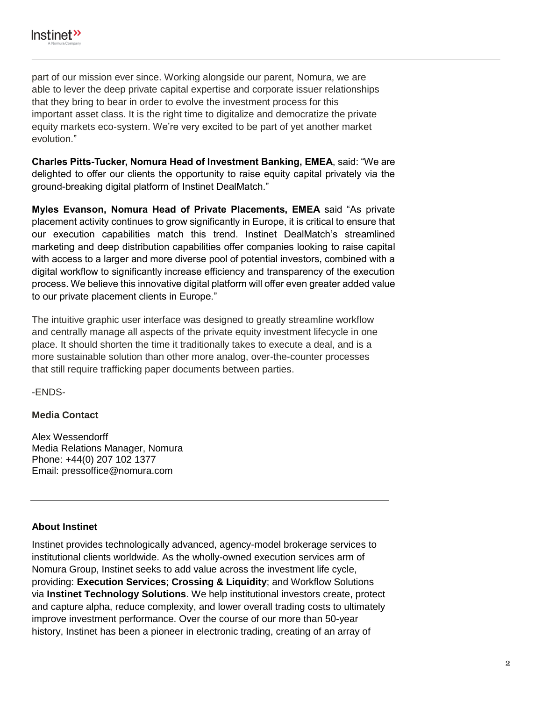part of our mission ever since. Working alongside our parent, Nomura, we are able to lever the deep private capital expertise and corporate issuer relationships that they bring to bear in order to evolve the investment process for this important asset class. It is the right time to digitalize and democratize the private equity markets eco-system. We're very excited to be part of yet another market evolution."

**Charles Pitts-Tucker, Nomura Head of Investment Banking, EMEA**, said: "We are delighted to offer our clients the opportunity to raise equity capital privately via the ground-breaking digital platform of Instinet DealMatch."

**Myles Evanson, Nomura Head of Private Placements, EMEA** said "As private placement activity continues to grow significantly in Europe, it is critical to ensure that our execution capabilities match this trend. Instinet DealMatch's streamlined marketing and deep distribution capabilities offer companies looking to raise capital with access to a larger and more diverse pool of potential investors, combined with a digital workflow to significantly increase efficiency and transparency of the execution process. We believe this innovative digital platform will offer even greater added value to our private placement clients in Europe."

The intuitive graphic user interface was designed to greatly streamline workflow and centrally manage all aspects of the private equity investment lifecycle in one place. It should shorten the time it traditionally takes to execute a deal, and is a more sustainable solution than other more analog, over-the-counter processes that still require trafficking paper documents between parties.

-ENDS-

## **Media Contact**

Alex Wessendorff Media Relations Manager, Nomura Phone: +44(0) 207 102 1377 Email: pressoffice@nomura.com

## **About Instinet**

Instinet provides technologically advanced, agency-model brokerage services to institutional clients worldwide. As the wholly-owned execution services arm of Nomura Group, Instinet seeks to add value across the investment life cycle, providing: **Execution Services**; **Crossing & Liquidity**; and Workflow Solutions via **Instinet Technology Solutions**. We help institutional investors create, protect and capture alpha, reduce complexity, and lower overall trading costs to ultimately improve investment performance. Over the course of our more than 50-year history, Instinet has been a pioneer in electronic trading, creating of an array of